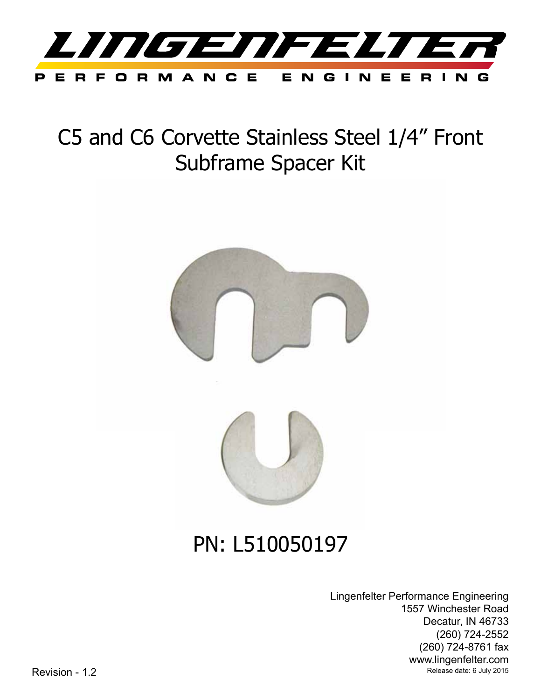

# C5 and C6 Corvette Stainless Steel 1/4" Front Subframe Spacer Kit



## PN: L510050197

Lingenfelter Performance Engineering 1557 Winchester Road Decatur, IN 46733 (260) 724-2552 (260) 724-8761 fax www.lingenfelter.com Revision - 1.2 **Revision - 1.2** Release date: 6 July 2015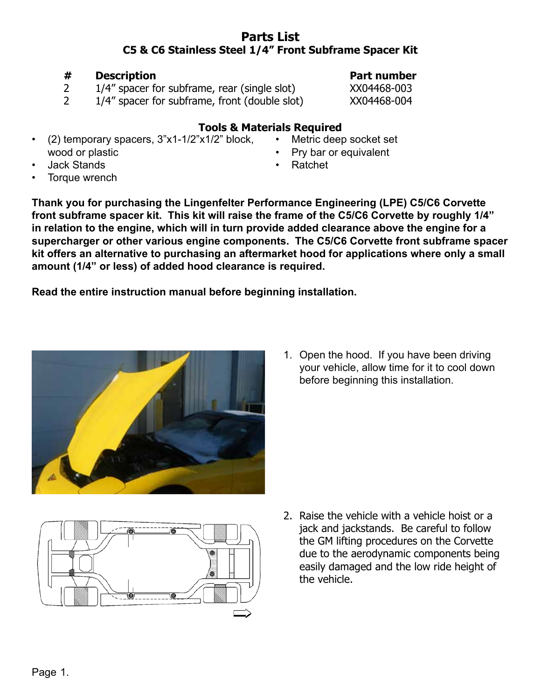### **Parts List C5 & C6 Stainless Steel 1/4" Front Subframe Spacer Kit**

## 2 1/4" spacer for subframe, front (double slot) XX04468-004

- **Tools & Materials Required**
- $(2)$  temporary spacers,  $3"x1-1/2"x1/2"$  block, wood or plastic
- **Jack Stands**
- Torque wrench

**Thank you for purchasing the Lingenfelter Performance Engineering (LPE) C5/C6 Corvette front subframe spacer kit. This kit will raise the frame of the C5/C6 Corvette by roughly 1/4" in relation to the engine, which will in turn provide added clearance above the engine for a supercharger or other various engine components. The C5/C6 Corvette front subframe spacer kit offers an alternative to purchasing an aftermarket hood for applications where only a small amount (1/4" or less) of added hood clearance is required.** 

**Read the entire instruction manual before beginning installation.**

2. Raise the vehicle with a vehicle hoist or a jack and jackstands. Be careful to follow the GM lifting procedures on the Corvette due to the aerodynamic components being easily damaged and the low ride height of the vehicle.

1. Open the hood. If you have been driving your vehicle, allow time for it to cool down before beginning this installation.





**# Description Part number**

2 1/4" spacer for subframe, rear (single slot) XX04468-003

Metric deep socket set Pry bar or equivalent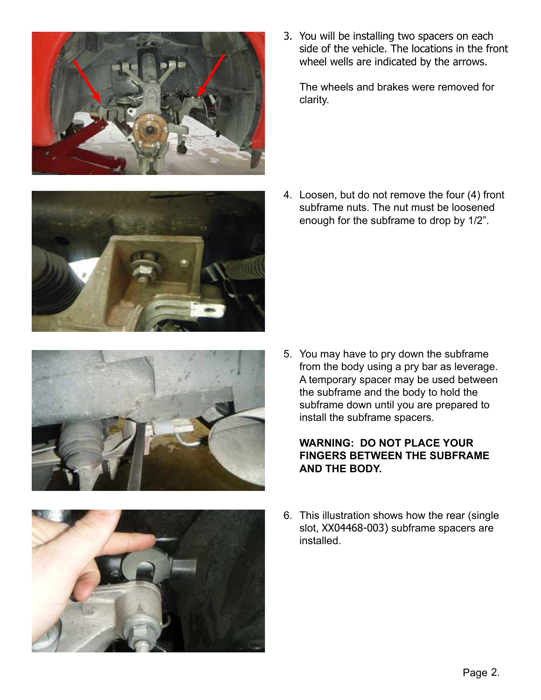

- 
- 



3. You will be installing two spacers on each side of the vehicle. The locations in the front wheel wells are indicated by the arrows.

The wheels and brakes were removed for clarity.

4. Loosen, but do not remove the four (4) front subframe nuts. The nut must be loosened enough for the subframe to drop by 1/2".

5. You may have to pry down the subframe from the body using a pry bar as leverage. A temporary spacer may be used between the subframe and the body to hold the subframe down until you are prepared to install the subframe spacers.

### **WARNING: DO NOT PLACE YOUR FINGERS BETWEEN THE SUBFRAME AND THE BODY.**

6. This illustration shows how the rear (single slot, XX04468-003) subframe spacers are installed.